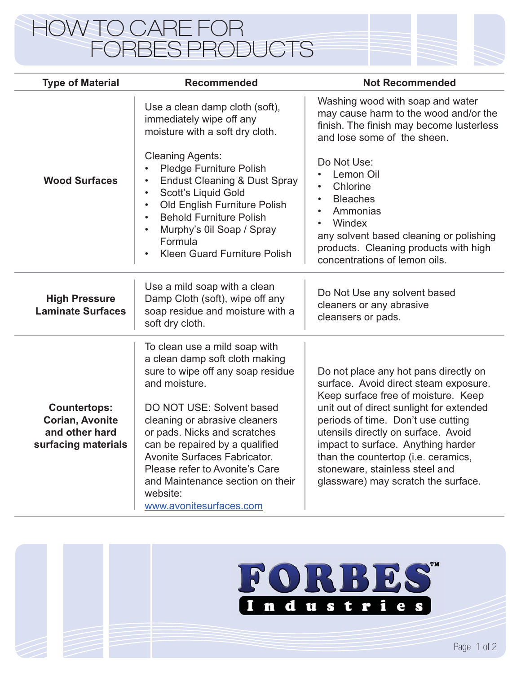## HOW TO CARE FOR FORBES PRODUCTS

| <b>Type of Material</b>                                                                | <b>Recommended</b>                                                                                                                                                                                                                                                                                                                                                                                        | <b>Not Recommended</b>                                                                                                                                                                                                                                                                                                                                                                               |
|----------------------------------------------------------------------------------------|-----------------------------------------------------------------------------------------------------------------------------------------------------------------------------------------------------------------------------------------------------------------------------------------------------------------------------------------------------------------------------------------------------------|------------------------------------------------------------------------------------------------------------------------------------------------------------------------------------------------------------------------------------------------------------------------------------------------------------------------------------------------------------------------------------------------------|
|                                                                                        | Use a clean damp cloth (soft),<br>immediately wipe off any<br>moisture with a soft dry cloth.                                                                                                                                                                                                                                                                                                             | Washing wood with soap and water<br>may cause harm to the wood and/or the<br>finish. The finish may become lusterless<br>and lose some of the sheen.                                                                                                                                                                                                                                                 |
| <b>Wood Surfaces</b>                                                                   | <b>Cleaning Agents:</b><br>Pledge Furniture Polish<br><b>Endust Cleaning &amp; Dust Spray</b><br>Scott's Liquid Gold<br>$\bullet$<br>Old English Furniture Polish<br>$\bullet$<br><b>Behold Furniture Polish</b><br>$\bullet$<br>Murphy's 0il Soap / Spray<br>Formula<br>Kleen Guard Furniture Polish<br>$\bullet$                                                                                        | Do Not Use:<br>Lemon Oil<br>$\bullet$<br>Chlorine<br>$\bullet$<br><b>Bleaches</b><br>$\bullet$<br>Ammonias<br>$\bullet$<br>Windex<br>$\bullet$<br>any solvent based cleaning or polishing<br>products. Cleaning products with high<br>concentrations of lemon oils.                                                                                                                                  |
| <b>High Pressure</b><br><b>Laminate Surfaces</b>                                       | Use a mild soap with a clean<br>Damp Cloth (soft), wipe off any<br>soap residue and moisture with a<br>soft dry cloth.                                                                                                                                                                                                                                                                                    | Do Not Use any solvent based<br>cleaners or any abrasive<br>cleansers or pads.                                                                                                                                                                                                                                                                                                                       |
| <b>Countertops:</b><br><b>Corian, Avonite</b><br>and other hard<br>surfacing materials | To clean use a mild soap with<br>a clean damp soft cloth making<br>sure to wipe off any soap residue<br>and moisture.<br>DO NOT USE: Solvent based<br>cleaning or abrasive cleaners<br>or pads. Nicks and scratches<br>can be repaired by a qualified<br><b>Avonite Surfaces Fabricator.</b><br>Please refer to Avonite's Care<br>and Maintenance section on their<br>website:<br>www.avonitesurfaces.com | Do not place any hot pans directly on<br>surface. Avoid direct steam exposure.<br>Keep surface free of moisture. Keep<br>unit out of direct sunlight for extended<br>periods of time. Don't use cutting<br>utensils directly on surface. Avoid<br>impact to surface. Anything harder<br>than the countertop (i.e. ceramics,<br>stoneware, stainless steel and<br>glassware) may scratch the surface. |